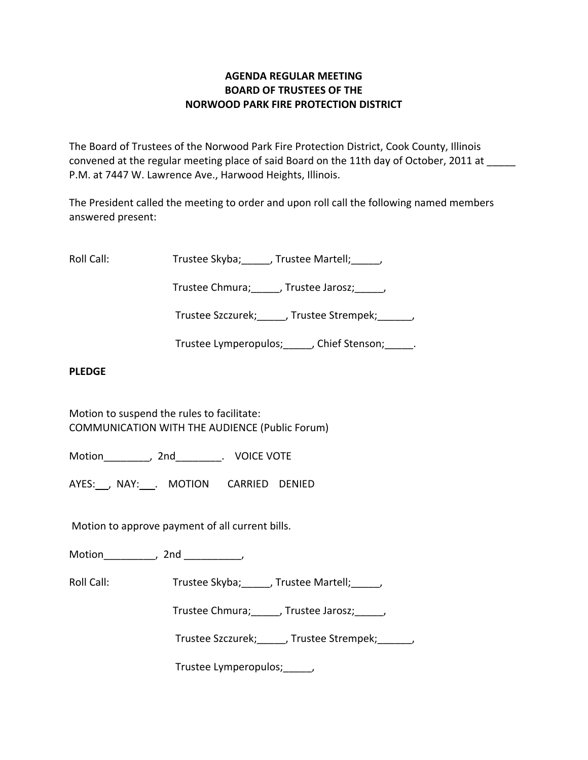# **AGENDA REGULAR MEETING BOARD OF TRUSTEES OF THE NORWOOD PARK FIRE PROTECTION DISTRICT**

The Board of Trustees of the Norwood Park Fire Protection District, Cook County, Illinois convened at the regular meeting place of said Board on the 11th day of October, 2011 at P.M. at 7447 W. Lawrence Ave., Harwood Heights, Illinois.

The President called the meeting to order and upon roll call the following named members answered present:

Roll Call: Trustee Skyba; J. Trustee Martell; Trustee Martell;

Trustee Chmura; frustee Jarosz; frustee Ohmura; die Jarosz; die Jarosz; die Jarosz; die Jarosz; die J

Trustee Szczurek; frustee Strempek; frustee Strempek;

Trustee Lymperopulos; finition chief Stenson; and Trustee Lymperopulos; and Trustee Stenson;

### **PLEDGE**

Motion to suspend the rules to facilitate: COMMUNICATION WITH THE AUDIENCE (Public Forum)

Motion\_\_\_\_\_\_\_\_, 2nd\_\_\_\_\_\_\_\_. VOICE VOTE

AYES: NAY: NAY: MOTION CARRIED DENIED

Motion to approve payment of all current bills.

Motion the contract of the contract of the contract of the contract of the contract of the contract of the contract of the contract of the contract of the contract of the contract of the contract of the contract of the con

Roll Call: Trustee Skyba; Trustee Martell; Trustee Martell;

Trustee Chmura;\_\_\_\_\_, Trustee Jarosz;\_\_\_\_\_,

Trustee Szczurek; J. Trustee Strempek; J.

Trustee Lymperopulos;\_\_\_\_\_,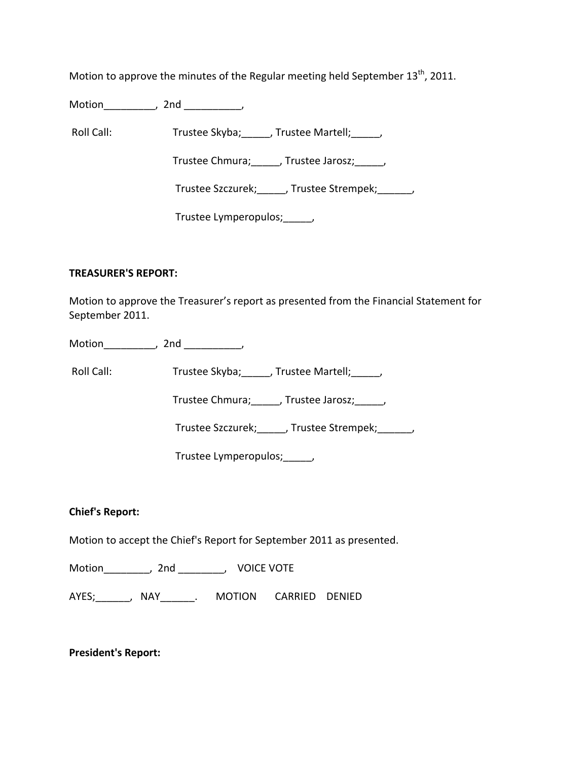Motion to approve the minutes of the Regular meeting held September 13<sup>th</sup>, 2011.

Motion\_\_\_\_\_\_\_\_\_, 2nd \_\_\_\_\_\_\_\_\_\_,

Roll Call: Trustee Skyba; J. Trustee Martell; Trustee Martell;

Trustee Chmura; frustee Jarosz; frustee Jarosz;

Trustee Szczurek; J. Trustee Strempek; J.

Trustee Lymperopulos; fig.

### **TREASURER'S REPORT:**

Motion to approve the Treasurer's report as presented from the Financial Statement for September 2011.

Motion the contract of the contract of the contract of the contract of the contract of the contract of the contract of the contract of the contract of the contract of the contract of the contract of the contract of the con

Roll Call: Trustee Skyba; J. Trustee Martell; Trustee Martell;

Trustee Chmura;\_\_\_\_\_, Trustee Jarosz;\_\_\_\_\_,

Trustee Szczurek;\_\_\_\_\_, Trustee Strempek;\_\_\_\_\_\_,

Trustee Lymperopulos;\_\_\_\_\_,

# **Chief's Report:**

Motion to accept the Chief's Report for September 2011 as presented.

Motion\_\_\_\_\_\_\_\_, 2nd \_\_\_\_\_\_\_\_, VOICE VOTE

AYES; The AYES; ANAY The MOTION CARRIED DENIED

**President's Report:**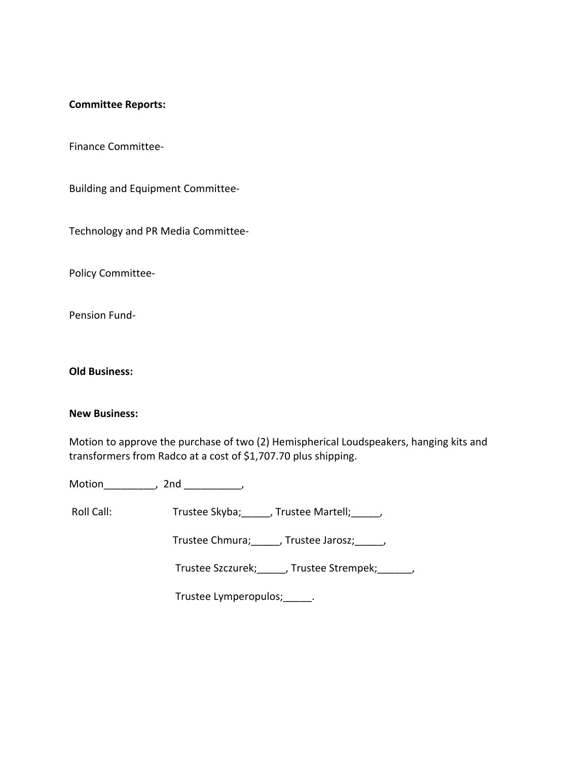#### **Committee Reports:**

Finance Committee‐

Building and Equipment Committee‐

Technology and PR Media Committee‐

Policy Committee‐

Pension Fund‐

**Old Business:**

#### **New Business:**

Motion to approve the purchase of two (2) Hemispherical Loudspeakers, hanging kits and transformers from Radco at a cost of \$1,707.70 plus shipping.

Motion\_\_\_\_\_\_\_\_\_, 2nd \_\_\_\_\_\_\_\_\_\_,

Roll Call: Trustee Skyba; J. Trustee Martell; J. J.

Trustee Chmura;\_\_\_\_\_, Trustee Jarosz;\_\_\_\_\_,

Trustee Szczurek;\_\_\_\_\_, Trustee Strempek;\_\_\_\_\_\_,

Trustee Lymperopulos;\_\_\_\_\_.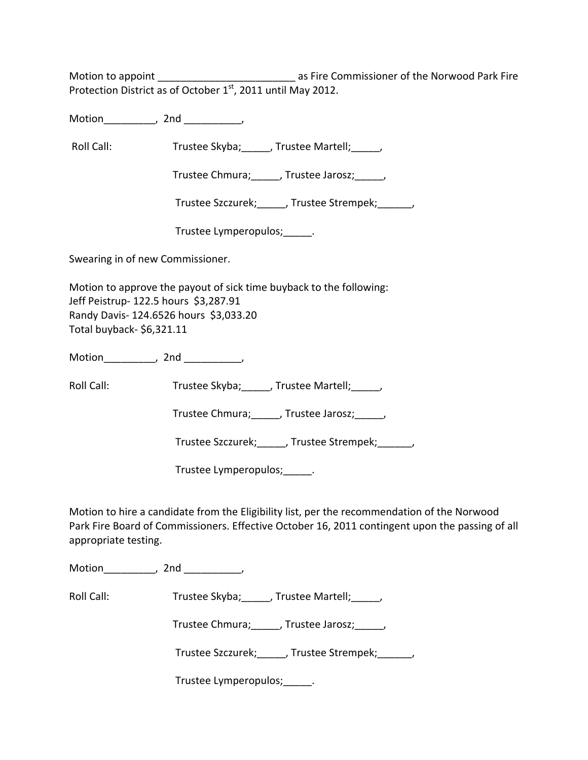Motion to appoint \_\_\_\_\_\_\_\_\_\_\_\_\_\_\_\_\_\_\_\_\_\_\_\_ as Fire Commissioner of the Norwood Park Fire Protection District as of October 1<sup>st</sup>, 2011 until May 2012.

Motion the motion of the motion of the motion of the motion of the motion of the motion of the motion of the m<br>Second motion of the motion of the motion of the motion of the motion of the motion of the motion of the motio<br>

Roll Call: Trustee Skyba; J. Trustee Martell; Trustee Martell;

Trustee Chmura;\_\_\_\_\_, Trustee Jarosz;\_\_\_\_\_,

Trustee Szczurek;\_\_\_\_\_, Trustee Strempek;\_\_\_\_\_\_,

Trustee Lymperopulos;\_\_\_\_\_.

Swearing in of new Commissioner.

Motion to approve the payout of sick time buyback to the following: Jeff Peistrup- 122.5 hours \$3,287.91 Randy Davis‐ 124.6526 hours \$3,033.20 Total buyback‐ \$6,321.11

Motion\_\_\_\_\_\_\_\_\_, 2nd \_\_\_\_\_\_\_\_\_\_,

Roll Call: Trustee Skyba; \_\_\_\_\_, Trustee Martell; \_\_\_\_,

Trustee Chmura; frustee Jarosz; frustee Ohmura; die Jarosz; die Jarosz; die Jarosz; die Jarosz; die J

Trustee Szczurek; frustee Strempek; frustee Strempek;

Trustee Lymperopulos;\_\_\_\_\_.

Motion to hire a candidate from the Eligibility list, per the recommendation of the Norwood Park Fire Board of Commissioners. Effective October 16, 2011 contingent upon the passing of all appropriate testing.

Motion the motion of the motion of the motion of the motion of the motion of the motion of the motion of the m<br>Second motion of the motion of the motion of the motion of the motion of the motion of the motion of the motio<br>

Roll Call: Trustee Skyba; J. Trustee Martell; J.

Trustee Chmura; frustee Jarosz; frustee Ohmura; die Jarosz; die Jarosz; die Jarosz; die Jarosz; die J

Trustee Szczurek;\_\_\_\_\_, Trustee Strempek;\_\_\_\_\_\_,

Trustee Lymperopulos; Fig.